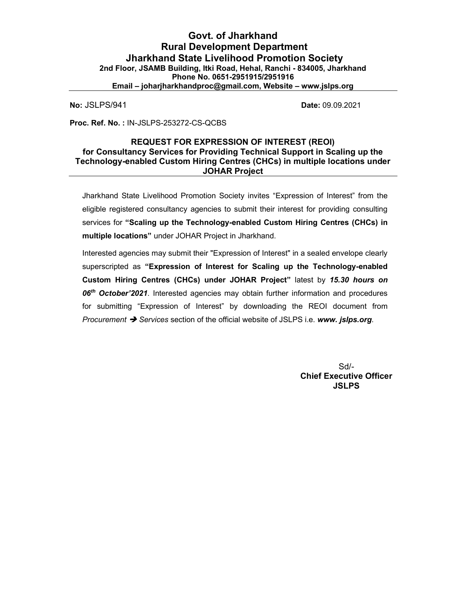**No: JSLPS/941 Date: 09.09.2021** 

Proc. Ref. No. : IN-JSLPS-253272-CS-QCBS

### REQUEST FOR EXPRESSION OF INTEREST (REOI) for Consultancy Services for Providing Technical Support in Scaling up the Technology-enabled Custom Hiring Centres (CHCs) in multiple locations under JOHAR Project

Jharkhand State Livelihood Promotion Society invites "Expression of Interest" from the eligible registered consultancy agencies to submit their interest for providing consulting services for "Scaling up the Technology-enabled Custom Hiring Centres (CHCs) in multiple locations" under JOHAR Project in Jharkhand.

Interested agencies may submit their "Expression of Interest" in a sealed envelope clearly superscripted as "Expression of Interest for Scaling up the Technology-enabled Custom Hiring Centres (CHCs) under JOHAR Project" latest by 15.30 hours on 06<sup>th</sup> October'2021. Interested agencies may obtain further information and procedures for submitting "Expression of Interest" by downloading the REOI document from Procurement → Services section of the official website of JSLPS i.e. www. jslps.org.

> Sd/- Chief Executive Officer **JSLPS**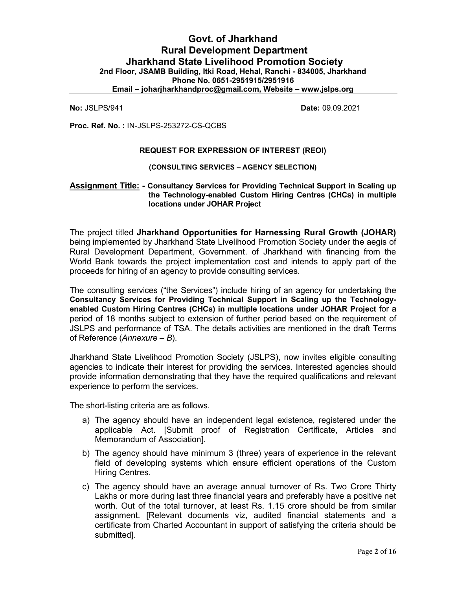# Govt. of Jharkhand Rural Development Department Jharkhand State Livelihood Promotion Society 2nd Floor, JSAMB Building, Itki Road, Hehal, Ranchi - 834005, Jharkhand Phone No. 0651-2951915/2951916 Email – joharjharkhandproc@gmail.com, Website – www.jslps.org

**No: JSLPS/941 Date: 09.09.2021** 

Proc. Ref. No. : IN-JSLPS-253272-CS-QCBS

#### REQUEST FOR EXPRESSION OF INTEREST (REOI)

#### (CONSULTING SERVICES – AGENCY SELECTION)

#### Assignment Title: - Consultancy Services for Providing Technical Support in Scaling up the Technology-enabled Custom Hiring Centres (CHCs) in multiple locations under JOHAR Project

The project titled Jharkhand Opportunities for Harnessing Rural Growth (JOHAR) being implemented by Jharkhand State Livelihood Promotion Society under the aegis of Rural Development Department, Government. of Jharkhand with financing from the World Bank towards the project implementation cost and intends to apply part of the proceeds for hiring of an agency to provide consulting services.

The consulting services ("the Services") include hiring of an agency for undertaking the Consultancy Services for Providing Technical Support in Scaling up the Technologyenabled Custom Hiring Centres (CHCs) in multiple locations under JOHAR Project for a period of 18 months subject to extension of further period based on the requirement of JSLPS and performance of TSA. The details activities are mentioned in the draft Terms of Reference (Annexure – B).

Jharkhand State Livelihood Promotion Society (JSLPS), now invites eligible consulting agencies to indicate their interest for providing the services. Interested agencies should provide information demonstrating that they have the required qualifications and relevant experience to perform the services.

The short-listing criteria are as follows.

- a) The agency should have an independent legal existence, registered under the applicable Act. [Submit proof of Registration Certificate, Articles and Memorandum of Association].
- b) The agency should have minimum 3 (three) years of experience in the relevant field of developing systems which ensure efficient operations of the Custom Hiring Centres.
- c) The agency should have an average annual turnover of Rs. Two Crore Thirty Lakhs or more during last three financial years and preferably have a positive net worth. Out of the total turnover, at least Rs. 1.15 crore should be from similar assignment. [Relevant documents viz, audited financial statements and a certificate from Charted Accountant in support of satisfying the criteria should be submitted].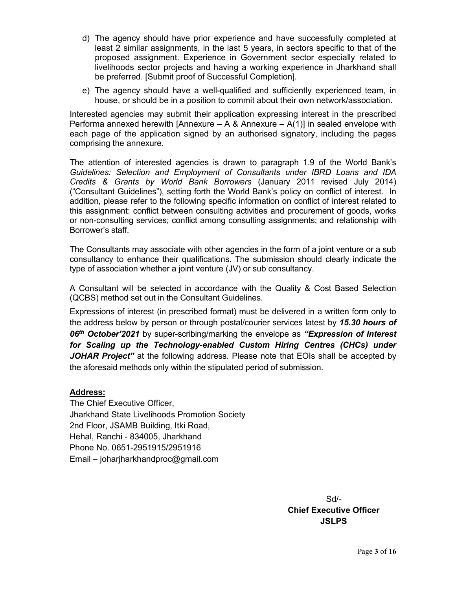- d) The agency should have prior experience and have successfully completed at least 2 similar assignments, in the last 5 years, in sectors specific to that of the proposed assignment. Experience in Government sector especially related to livelihoods sector projects and having a working experience in Jharkhand shall be preferred. [Submit proof of Successful Completion].
- e) The agency should have a well-qualified and sufficiently experienced team, in house, or should be in a position to commit about their own network/association.

Interested agencies may submit their application expressing interest in the prescribed Performa annexed herewith [Annexure – A & Annexure – A(1)] in sealed envelope with each page of the application signed by an authorised signatory, including the pages comprising the annexure.

The attention of interested agencies is drawn to paragraph 1.9 of the World Bank's Guidelines: Selection and Employment of Consultants under IBRD Loans and IDA Credits & Grants by World Bank Borrowers (January 2011 revised July 2014) ("Consultant Guidelines"), setting forth the World Bank's policy on conflict of interest. In addition, please refer to the following specific information on conflict of interest related to this assignment: conflict between consulting activities and procurement of goods, works or non-consulting services; conflict among consulting assignments; and relationship with Borrower's staff.

The Consultants may associate with other agencies in the form of a joint venture or a sub consultancy to enhance their qualifications. The submission should clearly indicate the type of association whether a joint venture (JV) or sub consultancy.

A Consultant will be selected in accordance with the Quality & Cost Based Selection (QCBS) method set out in the Consultant Guidelines.

Expressions of interest (in prescribed format) must be delivered in a written form only to the address below by person or through postal/courier services latest by 15.30 hours of 06<sup>th</sup> October'2021 by super-scribing/marking the envelope as "Expression of Interest for Scaling up the Technology-enabled Custom Hiring Centres (CHCs) under JOHAR Project" at the following address. Please note that EOIs shall be accepted by the aforesaid methods only within the stipulated period of submission.

## Address:

The Chief Executive Officer, Jharkhand State Livelihoods Promotion Society 2nd Floor, JSAMB Building, Itki Road, Hehal, Ranchi - 834005, Jharkhand Phone No. 0651-2951915/2951916 Email – joharjharkhandproc@gmail.com

> Sd/- Chief Executive Officer **JSLPS**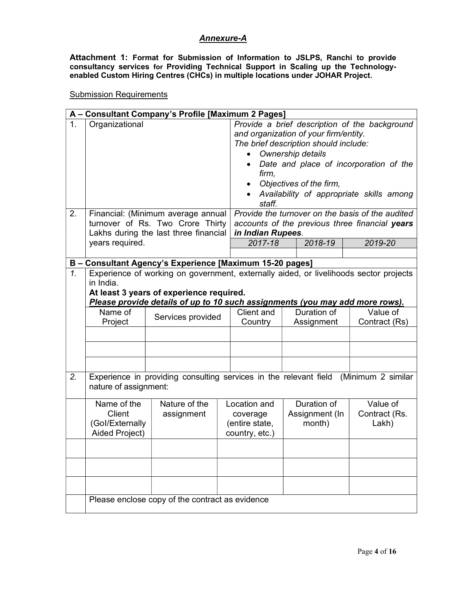## Annexure-A

Attachment 1: Format for Submission of Information to JSLPS, Ranchi to provide consultancy services for Providing Technical Support in Scaling up the Technologyenabled Custom Hiring Centres (CHCs) in multiple locations under JOHAR Project.

Submission Requirements

|                  | A - Consultant Company's Profile [Maximum 2 Pages] |                                                                              |  |                                                                                                                                                                                                                                                                                                                                                                                                |  |                |                                                                                       |
|------------------|----------------------------------------------------|------------------------------------------------------------------------------|--|------------------------------------------------------------------------------------------------------------------------------------------------------------------------------------------------------------------------------------------------------------------------------------------------------------------------------------------------------------------------------------------------|--|----------------|---------------------------------------------------------------------------------------|
| 1.<br>2.         | Organizational                                     | Financial: (Minimum average annual<br>turnover of Rs. Two Crore Thirty       |  | Provide a brief description of the background<br>and organization of your firm/entity.<br>The brief description should include:<br>Ownership details<br>Date and place of incorporation of the<br>firm,<br>Objectives of the firm,<br>Availability of appropriate skills among<br>staff.<br>Provide the turnover on the basis of the audited<br>accounts of the previous three financial years |  |                |                                                                                       |
|                  |                                                    | Lakhs during the last three financial                                        |  | in Indian Rupees.                                                                                                                                                                                                                                                                                                                                                                              |  |                |                                                                                       |
|                  | years required.                                    |                                                                              |  | 2017-18                                                                                                                                                                                                                                                                                                                                                                                        |  | 2018-19        | 2019-20                                                                               |
|                  |                                                    |                                                                              |  |                                                                                                                                                                                                                                                                                                                                                                                                |  |                |                                                                                       |
| $\overline{1}$ . |                                                    | B - Consultant Agency's Experience [Maximum 15-20 pages]                     |  |                                                                                                                                                                                                                                                                                                                                                                                                |  |                | Experience of working on government, externally aided, or livelihoods sector projects |
|                  | in India.                                          |                                                                              |  |                                                                                                                                                                                                                                                                                                                                                                                                |  |                |                                                                                       |
|                  |                                                    | At least 3 years of experience required.                                     |  |                                                                                                                                                                                                                                                                                                                                                                                                |  |                |                                                                                       |
|                  |                                                    | Please provide details of up to 10 such assignments (you may add more rows). |  |                                                                                                                                                                                                                                                                                                                                                                                                |  |                |                                                                                       |
|                  | Name of                                            | Services provided                                                            |  | Client and                                                                                                                                                                                                                                                                                                                                                                                     |  | Duration of    | Value of                                                                              |
|                  | Project                                            |                                                                              |  | Country                                                                                                                                                                                                                                                                                                                                                                                        |  | Assignment     | Contract (Rs)                                                                         |
|                  |                                                    |                                                                              |  |                                                                                                                                                                                                                                                                                                                                                                                                |  |                |                                                                                       |
|                  |                                                    |                                                                              |  |                                                                                                                                                                                                                                                                                                                                                                                                |  |                |                                                                                       |
|                  |                                                    |                                                                              |  |                                                                                                                                                                                                                                                                                                                                                                                                |  |                |                                                                                       |
|                  |                                                    |                                                                              |  |                                                                                                                                                                                                                                                                                                                                                                                                |  |                |                                                                                       |
| 2.               |                                                    |                                                                              |  |                                                                                                                                                                                                                                                                                                                                                                                                |  |                | Experience in providing consulting services in the relevant field (Minimum 2 similar  |
|                  | nature of assignment:                              |                                                                              |  |                                                                                                                                                                                                                                                                                                                                                                                                |  |                |                                                                                       |
|                  | Name of the                                        | Nature of the                                                                |  | Location and                                                                                                                                                                                                                                                                                                                                                                                   |  | Duration of    | Value of                                                                              |
|                  | Client                                             | assignment                                                                   |  | coverage                                                                                                                                                                                                                                                                                                                                                                                       |  | Assignment (In | Contract (Rs.                                                                         |
|                  | (Gol/Externally                                    |                                                                              |  | (entire state,                                                                                                                                                                                                                                                                                                                                                                                 |  | month)         | Lakh)                                                                                 |
|                  | Aided Project)                                     |                                                                              |  | country, etc.)                                                                                                                                                                                                                                                                                                                                                                                 |  |                |                                                                                       |
|                  |                                                    |                                                                              |  |                                                                                                                                                                                                                                                                                                                                                                                                |  |                |                                                                                       |
|                  |                                                    |                                                                              |  |                                                                                                                                                                                                                                                                                                                                                                                                |  |                |                                                                                       |
|                  |                                                    |                                                                              |  |                                                                                                                                                                                                                                                                                                                                                                                                |  |                |                                                                                       |
|                  |                                                    |                                                                              |  |                                                                                                                                                                                                                                                                                                                                                                                                |  |                |                                                                                       |
|                  | Please enclose copy of the contract as evidence    |                                                                              |  |                                                                                                                                                                                                                                                                                                                                                                                                |  |                |                                                                                       |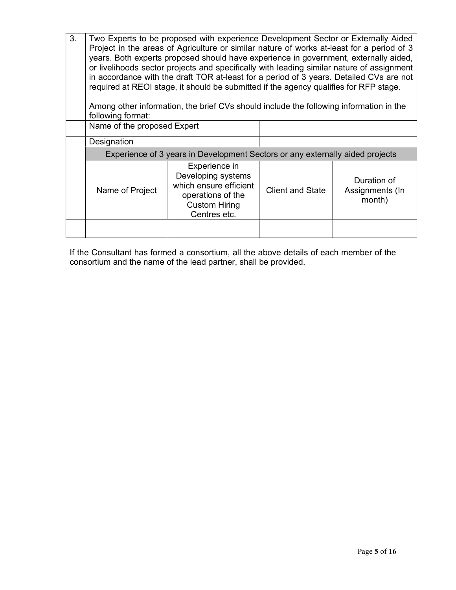| 3. | Two Experts to be proposed with experience Development Sector or Externally Aided<br>Project in the areas of Agriculture or similar nature of works at-least for a period of 3<br>years. Both experts proposed should have experience in government, externally aided,<br>or livelihoods sector projects and specifically with leading similar nature of assignment<br>in accordance with the draft TOR at-least for a period of 3 years. Detailed CVs are not |                                                                                                                            |                         |                                          |  |  |
|----|----------------------------------------------------------------------------------------------------------------------------------------------------------------------------------------------------------------------------------------------------------------------------------------------------------------------------------------------------------------------------------------------------------------------------------------------------------------|----------------------------------------------------------------------------------------------------------------------------|-------------------------|------------------------------------------|--|--|
|    |                                                                                                                                                                                                                                                                                                                                                                                                                                                                | required at REOI stage, it should be submitted if the agency qualifies for RFP stage.                                      |                         |                                          |  |  |
|    | following format:                                                                                                                                                                                                                                                                                                                                                                                                                                              | Among other information, the brief CVs should include the following information in the                                     |                         |                                          |  |  |
|    | Name of the proposed Expert                                                                                                                                                                                                                                                                                                                                                                                                                                    |                                                                                                                            |                         |                                          |  |  |
|    | Designation                                                                                                                                                                                                                                                                                                                                                                                                                                                    |                                                                                                                            |                         |                                          |  |  |
|    | Experience of 3 years in Development Sectors or any externally aided projects                                                                                                                                                                                                                                                                                                                                                                                  |                                                                                                                            |                         |                                          |  |  |
|    | Name of Project                                                                                                                                                                                                                                                                                                                                                                                                                                                | Experience in<br>Developing systems<br>which ensure efficient<br>operations of the<br><b>Custom Hiring</b><br>Centres etc. | <b>Client and State</b> | Duration of<br>Assignments (In<br>month) |  |  |
|    |                                                                                                                                                                                                                                                                                                                                                                                                                                                                |                                                                                                                            |                         |                                          |  |  |

If the Consultant has formed a consortium, all the above details of each member of the consortium and the name of the lead partner, shall be provided.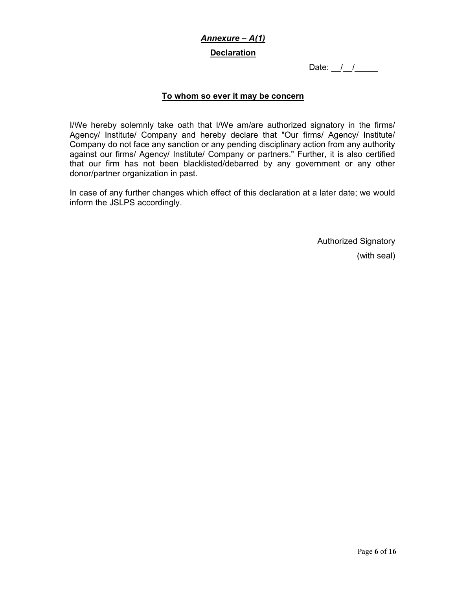# Annexure – A(1) **Declaration**

Date:  $\frac{1}{2}$ 

# To whom so ever it may be concern

I/We hereby solemnly take oath that I/We am/are authorized signatory in the firms/ Agency/ Institute/ Company and hereby declare that "Our firms/ Agency/ Institute/ Company do not face any sanction or any pending disciplinary action from any authority against our firms/ Agency/ Institute/ Company or partners." Further, it is also certified that our firm has not been blacklisted/debarred by any government or any other donor/partner organization in past.

In case of any further changes which effect of this declaration at a later date; we would inform the JSLPS accordingly.

> Authorized Signatory (with seal)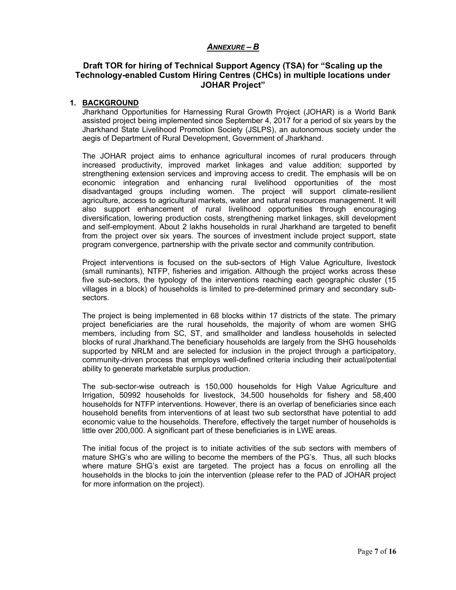#### ANNEXURE – B

#### Draft TOR for hiring of Technical Support Agency (TSA) for "Scaling up the Technology-enabled Custom Hiring Centres (CHCs) in multiple locations under JOHAR Project"

#### 1. BACKGROUND

Jharkhand Opportunities for Harnessing Rural Growth Project (JOHAR) is a World Bank assisted project being implemented since September 4, 2017 for a period of six years by the Jharkhand State Livelihood Promotion Society (JSLPS), an autonomous society under the aegis of Department of Rural Development, Government of Jharkhand.

The JOHAR project aims to enhance agricultural incomes of rural producers through increased productivity, improved market linkages and value addition; supported by strengthening extension services and improving access to credit. The emphasis will be on economic integration and enhancing rural livelihood opportunities of the most disadvantaged groups including women. The project will support climate-resilient agriculture, access to agricultural markets, water and natural resources management. It will also support enhancement of rural livelihood opportunities through encouraging diversification, lowering production costs, strengthening market linkages, skill development and self-employment. About 2 lakhs households in rural Jharkhand are targeted to benefit from the project over six years. The sources of investment include project support, state program convergence, partnership with the private sector and community contribution.

Project interventions is focused on the sub-sectors of High Value Agriculture, livestock (small ruminants), NTFP, fisheries and irrigation. Although the project works across these five sub-sectors, the typology of the interventions reaching each geographic cluster (15 villages in a block) of households is limited to pre-determined primary and secondary subsectors.

The project is being implemented in 68 blocks within 17 districts of the state. The primary project beneficiaries are the rural households, the majority of whom are women SHG members, including from SC, ST, and smallholder and landless households in selected blocks of rural Jharkhand.The beneficiary households are largely from the SHG households supported by NRLM and are selected for inclusion in the project through a participatory, community-driven process that employs well-defined criteria including their actual/potential ability to generate marketable surplus production.

The sub-sector-wise outreach is 150,000 households for High Value Agriculture and Irrigation, 50992 households for livestock, 34,500 households for fishery and 58,400 households for NTFP interventions. However, there is an overlap of beneficiaries since each household benefits from interventions of at least two sub sectorsthat have potential to add economic value to the households. Therefore, effectively the target number of households is little over 200,000. A significant part of these beneficiaries is in LWE areas.

The initial focus of the project is to initiate activities of the sub sectors with members of mature SHG's who are willing to become the members of the PG's. Thus, all such blocks where mature SHG's exist are targeted. The project has a focus on enrolling all the households in the blocks to join the intervention (please refer to the PAD of JOHAR project for more information on the project).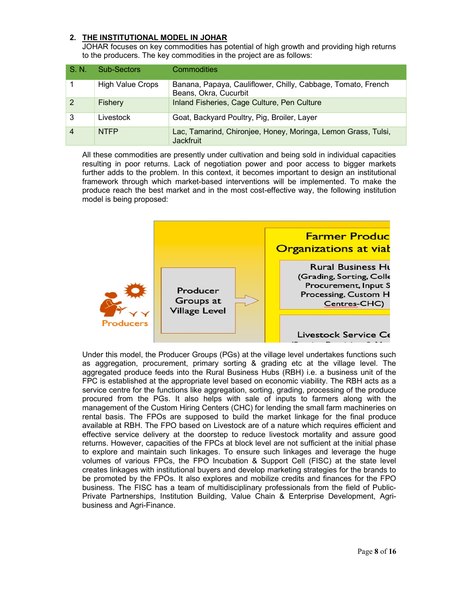#### 2. THE INSTITUTIONAL MODEL IN JOHAR

JOHAR focuses on key commodities has potential of high growth and providing high returns to the producers. The key commodities in the project are as follows:

| S. N.          | <b>Sub-Sectors</b>      | Commodities                                                                           |
|----------------|-------------------------|---------------------------------------------------------------------------------------|
|                | <b>High Value Crops</b> | Banana, Papaya, Cauliflower, Chilly, Cabbage, Tomato, French<br>Beans, Okra, Cucurbit |
| 2              | Fishery                 | Inland Fisheries, Cage Culture, Pen Culture                                           |
| 3              | Livestock               | Goat, Backyard Poultry, Pig, Broiler, Layer                                           |
| $\overline{4}$ | <b>NTFP</b>             | Lac, Tamarind, Chironjee, Honey, Moringa, Lemon Grass, Tulsi,<br><b>Jackfruit</b>     |

All these commodities are presently under cultivation and being sold in individual capacities resulting in poor returns. Lack of negotiation power and poor access to bigger markets further adds to the problem. In this context, it becomes important to design an institutional framework through which market-based interventions will be implemented. To make the produce reach the best market and in the most cost-effective way, the following institution model is being proposed:



Under this model, the Producer Groups (PGs) at the village level undertakes functions such as aggregation, procurement, primary sorting & grading etc at the village level. The aggregated produce feeds into the Rural Business Hubs (RBH) i.e. a business unit of the FPC is established at the appropriate level based on economic viability. The RBH acts as a service centre for the functions like aggregation, sorting, grading, processing of the produce procured from the PGs. It also helps with sale of inputs to farmers along with the management of the Custom Hiring Centers (CHC) for lending the small farm machineries on rental basis. The FPOs are supposed to build the market linkage for the final produce available at RBH. The FPO based on Livestock are of a nature which requires efficient and effective service delivery at the doorstep to reduce livestock mortality and assure good returns. However, capacities of the FPCs at block level are not sufficient at the initial phase to explore and maintain such linkages. To ensure such linkages and leverage the huge volumes of various FPCs, the FPO Incubation & Support Cell (FISC) at the state level creates linkages with institutional buyers and develop marketing strategies for the brands to be promoted by the FPOs. It also explores and mobilize credits and finances for the FPO business. The FISC has a team of multidisciplinary professionals from the field of Public-Private Partnerships, Institution Building, Value Chain & Enterprise Development, Agribusiness and Agri-Finance.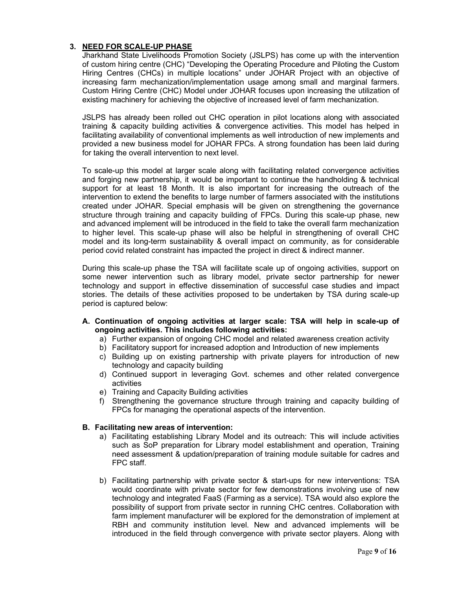#### 3. NEED FOR SCALE-UP PHASE

Jharkhand State Livelihoods Promotion Society (JSLPS) has come up with the intervention of custom hiring centre (CHC) "Developing the Operating Procedure and Piloting the Custom Hiring Centres (CHCs) in multiple locations" under JOHAR Project with an objective of increasing farm mechanization/implementation usage among small and marginal farmers. Custom Hiring Centre (CHC) Model under JOHAR focuses upon increasing the utilization of existing machinery for achieving the objective of increased level of farm mechanization.

JSLPS has already been rolled out CHC operation in pilot locations along with associated training & capacity building activities & convergence activities. This model has helped in facilitating availability of conventional implements as well introduction of new implements and provided a new business model for JOHAR FPCs. A strong foundation has been laid during for taking the overall intervention to next level.

To scale-up this model at larger scale along with facilitating related convergence activities and forging new partnership, it would be important to continue the handholding & technical support for at least 18 Month. It is also important for increasing the outreach of the intervention to extend the benefits to large number of farmers associated with the institutions created under JOHAR. Special emphasis will be given on strengthening the governance structure through training and capacity building of FPCs. During this scale-up phase, new and advanced implement will be introduced in the field to take the overall farm mechanization to higher level. This scale-up phase will also be helpful in strengthening of overall CHC model and its long-term sustainability & overall impact on community, as for considerable period covid related constraint has impacted the project in direct & indirect manner.

During this scale-up phase the TSA will facilitate scale up of ongoing activities, support on some newer intervention such as library model, private sector partnership for newer technology and support in effective dissemination of successful case studies and impact stories. The details of these activities proposed to be undertaken by TSA during scale-up period is captured below:

- A. Continuation of ongoing activities at larger scale: TSA will help in scale-up of ongoing activities. This includes following activities:
	- a) Further expansion of ongoing CHC model and related awareness creation activity
	- b) Facilitatory support for increased adoption and Introduction of new implements
	- c) Building up on existing partnership with private players for introduction of new technology and capacity building
	- d) Continued support in leveraging Govt. schemes and other related convergence activities
	- e) Training and Capacity Building activities
	- f) Strengthening the governance structure through training and capacity building of FPCs for managing the operational aspects of the intervention.

#### B. Facilitating new areas of intervention:

- a) Facilitating establishing Library Model and its outreach: This will include activities such as SoP preparation for Library model establishment and operation, Training need assessment & updation/preparation of training module suitable for cadres and FPC staff.
- b) Facilitating partnership with private sector & start-ups for new interventions: TSA would coordinate with private sector for few demonstrations involving use of new technology and integrated FaaS (Farming as a service). TSA would also explore the possibility of support from private sector in running CHC centres. Collaboration with farm implement manufacturer will be explored for the demonstration of implement at RBH and community institution level. New and advanced implements will be introduced in the field through convergence with private sector players. Along with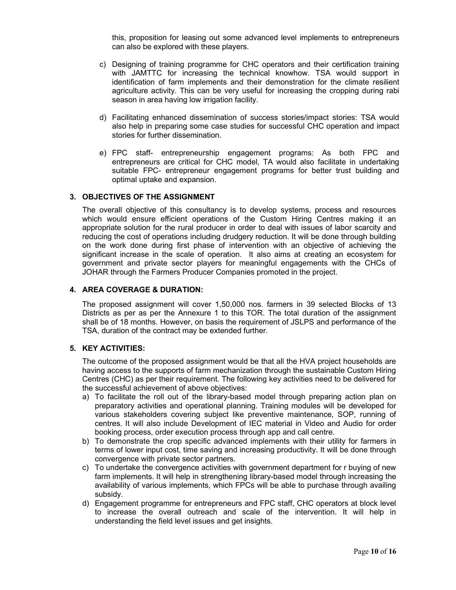this, proposition for leasing out some advanced level implements to entrepreneurs can also be explored with these players.

- c) Designing of training programme for CHC operators and their certification training with JAMTTC for increasing the technical knowhow. TSA would support in identification of farm implements and their demonstration for the climate resilient agriculture activity. This can be very useful for increasing the cropping during rabi season in area having low irrigation facility.
- d) Facilitating enhanced dissemination of success stories/impact stories: TSA would also help in preparing some case studies for successful CHC operation and impact stories for further dissemination.
- e) FPC staff- entrepreneurship engagement programs: As both FPC and entrepreneurs are critical for CHC model, TA would also facilitate in undertaking suitable FPC- entrepreneur engagement programs for better trust building and optimal uptake and expansion.

#### 3. OBJECTIVES OF THE ASSIGNMENT

The overall objective of this consultancy is to develop systems, process and resources which would ensure efficient operations of the Custom Hiring Centres making it an appropriate solution for the rural producer in order to deal with issues of labor scarcity and reducing the cost of operations including drudgery reduction. It will be done through building on the work done during first phase of intervention with an objective of achieving the significant increase in the scale of operation. It also aims at creating an ecosystem for government and private sector players for meaningful engagements with the CHCs of JOHAR through the Farmers Producer Companies promoted in the project.

#### 4. AREA COVERAGE & DURATION:

The proposed assignment will cover 1,50,000 nos. farmers in 39 selected Blocks of 13 Districts as per as per the Annexure 1 to this TOR. The total duration of the assignment shall be of 18 months. However, on basis the requirement of JSLPS and performance of the TSA, duration of the contract may be extended further.

#### 5. KEY ACTIVITIES:

The outcome of the proposed assignment would be that all the HVA project households are having access to the supports of farm mechanization through the sustainable Custom Hiring Centres (CHC) as per their requirement. The following key activities need to be delivered for the successful achievement of above objectives:

- a) To facilitate the roll out of the library-based model through preparing action plan on preparatory activities and operational planning. Training modules will be developed for various stakeholders covering subject like preventive maintenance, SOP, running of centres. It will also include Development of IEC material in Video and Audio for order booking process, order execution process through app and call centre.
- b) To demonstrate the crop specific advanced implements with their utility for farmers in terms of lower input cost, time saving and increasing productivity. It will be done through convergence with private sector partners.
- c) To undertake the convergence activities with government department for r buying of new farm implements. It will help in strengthening library-based model through increasing the availability of various implements, which FPCs will be able to purchase through availing subsidy.
- d) Engagement programme for entrepreneurs and FPC staff, CHC operators at block level to increase the overall outreach and scale of the intervention. It will help in understanding the field level issues and get insights.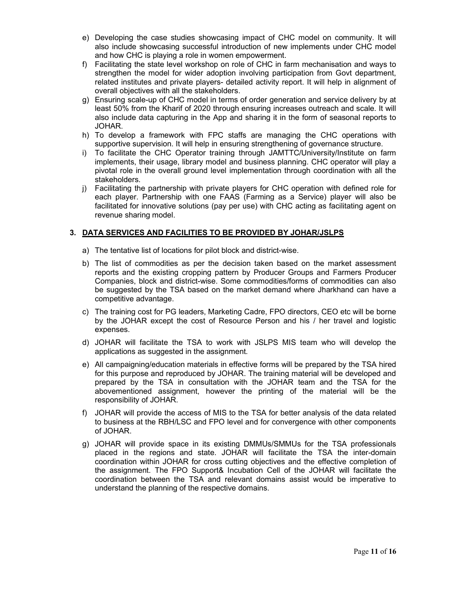- e) Developing the case studies showcasing impact of CHC model on community. It will also include showcasing successful introduction of new implements under CHC model and how CHC is playing a role in women empowerment.
- f) Facilitating the state level workshop on role of CHC in farm mechanisation and ways to strengthen the model for wider adoption involving participation from Govt department, related institutes and private players- detailed activity report. It will help in alignment of overall objectives with all the stakeholders.
- g) Ensuring scale-up of CHC model in terms of order generation and service delivery by at least 50% from the Kharif of 2020 through ensuring increases outreach and scale. It will also include data capturing in the App and sharing it in the form of seasonal reports to JOHAR.
- h) To develop a framework with FPC staffs are managing the CHC operations with supportive supervision. It will help in ensuring strengthening of governance structure.
- i) To facilitate the CHC Operator training through JAMTTC/University/Institute on farm implements, their usage, library model and business planning. CHC operator will play a pivotal role in the overall ground level implementation through coordination with all the stakeholders.
- j) Facilitating the partnership with private players for CHC operation with defined role for each player. Partnership with one FAAS (Farming as a Service) player will also be facilitated for innovative solutions (pay per use) with CHC acting as facilitating agent on revenue sharing model.

#### 3. DATA SERVICES AND FACILITIES TO BE PROVIDED BY JOHAR/JSLPS

- a) The tentative list of locations for pilot block and district-wise.
- b) The list of commodities as per the decision taken based on the market assessment reports and the existing cropping pattern by Producer Groups and Farmers Producer Companies, block and district-wise. Some commodities/forms of commodities can also be suggested by the TSA based on the market demand where Jharkhand can have a competitive advantage.
- c) The training cost for PG leaders, Marketing Cadre, FPO directors, CEO etc will be borne by the JOHAR except the cost of Resource Person and his / her travel and logistic expenses.
- d) JOHAR will facilitate the TSA to work with JSLPS MIS team who will develop the applications as suggested in the assignment.
- e) All campaigning/education materials in effective forms will be prepared by the TSA hired for this purpose and reproduced by JOHAR. The training material will be developed and prepared by the TSA in consultation with the JOHAR team and the TSA for the abovementioned assignment, however the printing of the material will be the responsibility of JOHAR.
- f) JOHAR will provide the access of MIS to the TSA for better analysis of the data related to business at the RBH/LSC and FPO level and for convergence with other components of JOHAR.
- g) JOHAR will provide space in its existing DMMUs/SMMUs for the TSA professionals placed in the regions and state. JOHAR will facilitate the TSA the inter-domain coordination within JOHAR for cross cutting objectives and the effective completion of the assignment. The FPO Support& Incubation Cell of the JOHAR will facilitate the coordination between the TSA and relevant domains assist would be imperative to understand the planning of the respective domains.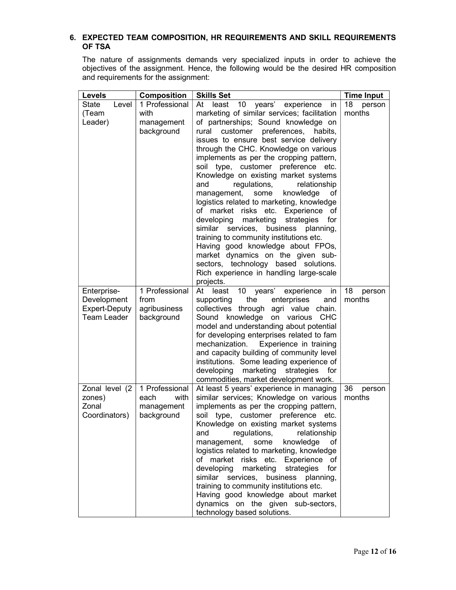#### 6. EXPECTED TEAM COMPOSITION, HR REQUIREMENTS AND SKILL REQUIREMENTS OF TSA

The nature of assignments demands very specialized inputs in order to achieve the objectives of the assignment. Hence, the following would be the desired HR composition and requirements for the assignment:

| Levels               | <b>Composition</b> | <b>Skills Set</b>                                                                    | <b>Time Input</b> |
|----------------------|--------------------|--------------------------------------------------------------------------------------|-------------------|
| State<br>Level       | 1 Professional     | 10 years' experience<br>At<br>least<br>in                                            | 18<br>person      |
| (Team                | with               | marketing of similar services; facilitation                                          | months            |
| Leader)              | management         | of partnerships; Sound knowledge on                                                  |                   |
|                      | background         | customer<br>preferences, habits,<br>rural                                            |                   |
|                      |                    | issues to ensure best service delivery                                               |                   |
|                      |                    | through the CHC. Knowledge on various                                                |                   |
|                      |                    | implements as per the cropping pattern,                                              |                   |
|                      |                    | soil type, customer preference etc.                                                  |                   |
|                      |                    | Knowledge on existing market systems                                                 |                   |
|                      |                    | regulations,<br>relationship<br>and                                                  |                   |
|                      |                    | knowledge<br>management,<br>some<br>of                                               |                   |
|                      |                    | logistics related to marketing, knowledge<br>of market risks etc. Experience<br>оf   |                   |
|                      |                    | developing<br>marketing<br>strategies<br>for                                         |                   |
|                      |                    | similar services,<br>business<br>planning,                                           |                   |
|                      |                    | training to community institutions etc.                                              |                   |
|                      |                    | Having good knowledge about FPOs,                                                    |                   |
|                      |                    | market dynamics on the given sub-                                                    |                   |
|                      |                    | sectors, technology based solutions.                                                 |                   |
|                      |                    | Rich experience in handling large-scale                                              |                   |
|                      |                    | projects.                                                                            |                   |
| Enterprise-          | 1 Professional     | At least<br>10 years'<br>experience<br>in                                            | 18<br>person      |
| Development          | from               | enterprises<br>supporting<br>the<br>and                                              | months            |
| <b>Expert-Deputy</b> | agribusiness       | collectives through agri value chain.                                                |                   |
| <b>Team Leader</b>   | background         | Sound knowledge on various<br><b>CHC</b>                                             |                   |
|                      |                    | model and understanding about potential<br>for developing enterprises related to fam |                   |
|                      |                    | mechanization.<br>Experience in training                                             |                   |
|                      |                    | and capacity building of community level                                             |                   |
|                      |                    | institutions. Some leading experience of                                             |                   |
|                      |                    | developing<br>marketing strategies<br>for                                            |                   |
|                      |                    | commodities, market development work.                                                |                   |
| Zonal level (2       | 1 Professional     | At least 5 years' experience in managing                                             | 36<br>person      |
| zones)               | each<br>with       | similar services; Knowledge on various                                               | months            |
| Zonal                | management         | implements as per the cropping pattern,                                              |                   |
| Coordinators)        | background         | soil type, customer preference etc.                                                  |                   |
|                      |                    | Knowledge on existing market systems                                                 |                   |
|                      |                    | regulations,<br>relationship<br>and                                                  |                   |
|                      |                    | knowledge<br>management,<br>some<br>of                                               |                   |
|                      |                    | logistics related to marketing, knowledge<br>of market risks etc. Experience<br>оf   |                   |
|                      |                    | developing<br>marketing<br>strategies<br>for                                         |                   |
|                      |                    | similar<br>services,<br>business<br>planning,                                        |                   |
|                      |                    | training to community institutions etc.                                              |                   |
|                      |                    | Having good knowledge about market                                                   |                   |
|                      |                    | dynamics on the given sub-sectors,                                                   |                   |
|                      |                    | technology based solutions.                                                          |                   |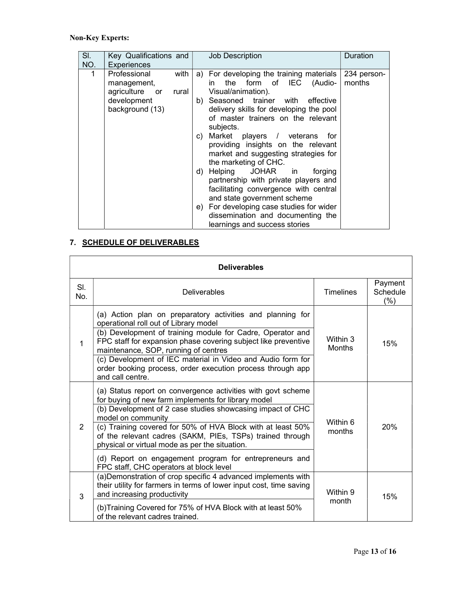# Non-Key Experts:

| SI.<br>NO.  | Key Qualifications and<br>Experiences                                                              | <b>Job Description</b>                                                                                                                                                                                                              | Duration              |
|-------------|----------------------------------------------------------------------------------------------------|-------------------------------------------------------------------------------------------------------------------------------------------------------------------------------------------------------------------------------------|-----------------------|
| $\mathbf 1$ | Professional<br>with<br>management,<br>agriculture or<br>rural  <br>development<br>background (13) | a) For developing the training materials<br>the form of IEC (Audio-<br>in<br>Visual/animation).<br>b) Seasoned trainer with effective<br>delivery skills for developing the pool<br>of master trainers on the relevant<br>subjects. | 234 person-<br>months |
|             |                                                                                                    | c) Market players / veterans<br>for<br>providing insights on the relevant<br>market and suggesting strategies for<br>the marketing of CHC.                                                                                          |                       |
|             |                                                                                                    | d) Helping JOHAR in<br>forging<br>partnership with private players and<br>facilitating convergence with central<br>and state government scheme                                                                                      |                       |
|             |                                                                                                    | e) For developing case studies for wider<br>dissemination and documenting the<br>learnings and success stories                                                                                                                      |                       |

# 7. SCHEDULE OF DELIVERABLES

| <b>Deliverables</b> |                                                                                                                                                                                                                                                                                                                                                                                                                                                                                            |                           |                            |  |  |
|---------------------|--------------------------------------------------------------------------------------------------------------------------------------------------------------------------------------------------------------------------------------------------------------------------------------------------------------------------------------------------------------------------------------------------------------------------------------------------------------------------------------------|---------------------------|----------------------------|--|--|
| SI.<br>No.          | <b>Deliverables</b>                                                                                                                                                                                                                                                                                                                                                                                                                                                                        | <b>Timelines</b>          | Payment<br>Schedule<br>(%) |  |  |
| $\mathbf{1}$        | (a) Action plan on preparatory activities and planning for<br>operational roll out of Library model<br>(b) Development of training module for Cadre, Operator and<br>FPC staff for expansion phase covering subject like preventive<br>maintenance, SOP, running of centres<br>(c) Development of IEC material in Video and Audio form for<br>order booking process, order execution process through app<br>and call centre.                                                               | Within 3<br><b>Months</b> | 15%                        |  |  |
| 2                   | (a) Status report on convergence activities with govt scheme<br>for buying of new farm implements for library model<br>(b) Development of 2 case studies showcasing impact of CHC<br>model on community<br>(c) Training covered for 50% of HVA Block with at least 50%<br>of the relevant cadres (SAKM, PIEs, TSPs) trained through<br>physical or virtual mode as per the situation.<br>(d) Report on engagement program for entrepreneurs and<br>FPC staff, CHC operators at block level | Within 6<br>months        | 20%                        |  |  |
| 3                   | (a) Demonstration of crop specific 4 advanced implements with<br>their utility for farmers in terms of lower input cost, time saving<br>and increasing productivity<br>(b) Training Covered for 75% of HVA Block with at least 50%<br>of the relevant cadres trained.                                                                                                                                                                                                                      | Within 9<br>month         | 15%                        |  |  |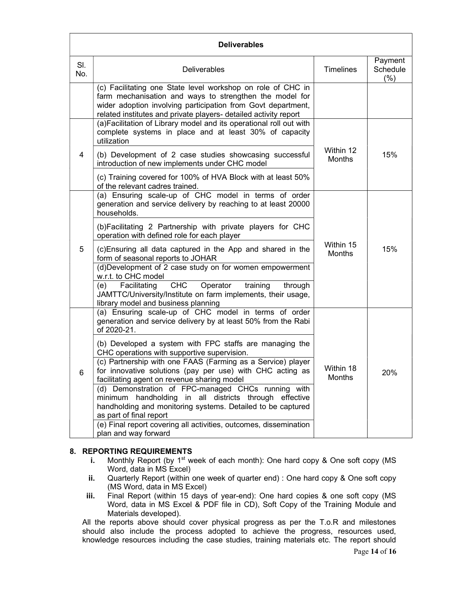| <b>Deliverables</b> |                                                                                                                                                                                                                                                            |                            |                               |  |
|---------------------|------------------------------------------------------------------------------------------------------------------------------------------------------------------------------------------------------------------------------------------------------------|----------------------------|-------------------------------|--|
| SI.<br>No.          | <b>Deliverables</b>                                                                                                                                                                                                                                        | <b>Timelines</b>           | Payment<br>Schedule<br>$(\%)$ |  |
|                     | (c) Facilitating one State level workshop on role of CHC in<br>farm mechanisation and ways to strengthen the model for<br>wider adoption involving participation from Govt department,<br>related institutes and private players- detailed activity report |                            |                               |  |
|                     | (a) Facilitation of Library model and its operational roll out with<br>complete systems in place and at least 30% of capacity<br>utilization                                                                                                               |                            | 15%                           |  |
| 4                   | (b) Development of 2 case studies showcasing successful<br>introduction of new implements under CHC model                                                                                                                                                  | Within 12<br><b>Months</b> |                               |  |
|                     | (c) Training covered for 100% of HVA Block with at least 50%<br>of the relevant cadres trained.                                                                                                                                                            |                            |                               |  |
|                     | (a) Ensuring scale-up of CHC model in terms of order<br>generation and service delivery by reaching to at least 20000<br>households.                                                                                                                       |                            |                               |  |
|                     | (b)Facilitating 2 Partnership with private players for CHC<br>operation with defined role for each player                                                                                                                                                  |                            |                               |  |
| 5                   | Within 15<br>15%<br>(c) Ensuring all data captured in the App and shared in the<br>Months<br>form of seasonal reports to JOHAR                                                                                                                             |                            |                               |  |
|                     | (d)Development of 2 case study on for women empowerment<br>w.r.t. to CHC model                                                                                                                                                                             |                            |                               |  |
|                     | Facilitating<br><b>CHC</b><br>(e)<br>Operator<br>training<br>through<br>JAMTTC/University/Institute on farm implements, their usage,<br>library model and business planning                                                                                |                            |                               |  |
|                     | (a) Ensuring scale-up of CHC model in terms of order<br>generation and service delivery by at least 50% from the Rabi<br>of 2020-21.                                                                                                                       |                            |                               |  |
|                     | (b) Developed a system with FPC staffs are managing the<br>CHC operations with supportive supervision.                                                                                                                                                     | Within 18<br>Months        | 20%                           |  |
| 6                   | (c) Partnership with one FAAS (Farming as a Service) player<br>for innovative solutions (pay per use) with CHC acting as<br>facilitating agent on revenue sharing model                                                                                    |                            |                               |  |
|                     | (d) Demonstration of FPC-managed CHCs running with<br>minimum handholding in all districts through effective<br>handholding and monitoring systems. Detailed to be captured<br>as part of final report                                                     |                            |                               |  |
|                     | (e) Final report covering all activities, outcomes, dissemination<br>plan and way forward                                                                                                                                                                  |                            |                               |  |

#### 8. REPORTING REQUIREMENTS

- i. Monthly Report (by  $1<sup>st</sup>$  week of each month): One hard copy  $&$  One soft copy (MS Word, data in MS Excel)
- ii. Quarterly Report (within one week of quarter end) : One hard copy & One soft copy (MS Word, data in MS Excel)
- iii. Final Report (within 15 days of year-end): One hard copies & one soft copy (MS Word, data in MS Excel & PDF file in CD), Soft Copy of the Training Module and Materials developed).

All the reports above should cover physical progress as per the T.o.R and milestones should also include the process adopted to achieve the progress, resources used, knowledge resources including the case studies, training materials etc. The report should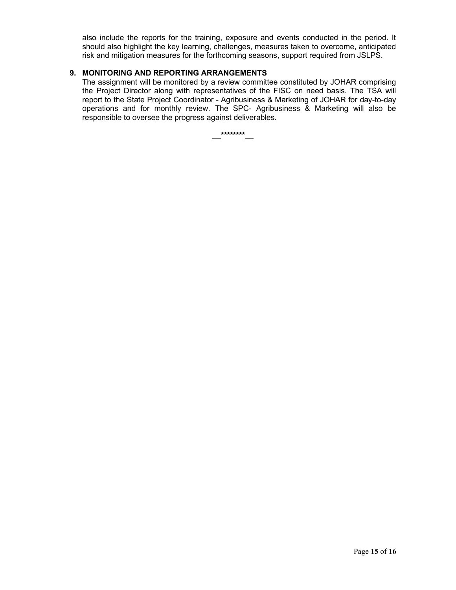also include the reports for the training, exposure and events conducted in the period. It should also highlight the key learning, challenges, measures taken to overcome, anticipated risk and mitigation measures for the forthcoming seasons, support required from JSLPS.

#### 9. MONITORING AND REPORTING ARRANGEMENTS

The assignment will be monitored by a review committee constituted by JOHAR comprising the Project Director along with representatives of the FISC on need basis. The TSA will report to the State Project Coordinator - Agribusiness & Marketing of JOHAR for day-to-day operations and for monthly review. The SPC- Agribusiness & Marketing will also be responsible to oversee the progress against deliverables.

\*\*\*\*\*\*\*\*